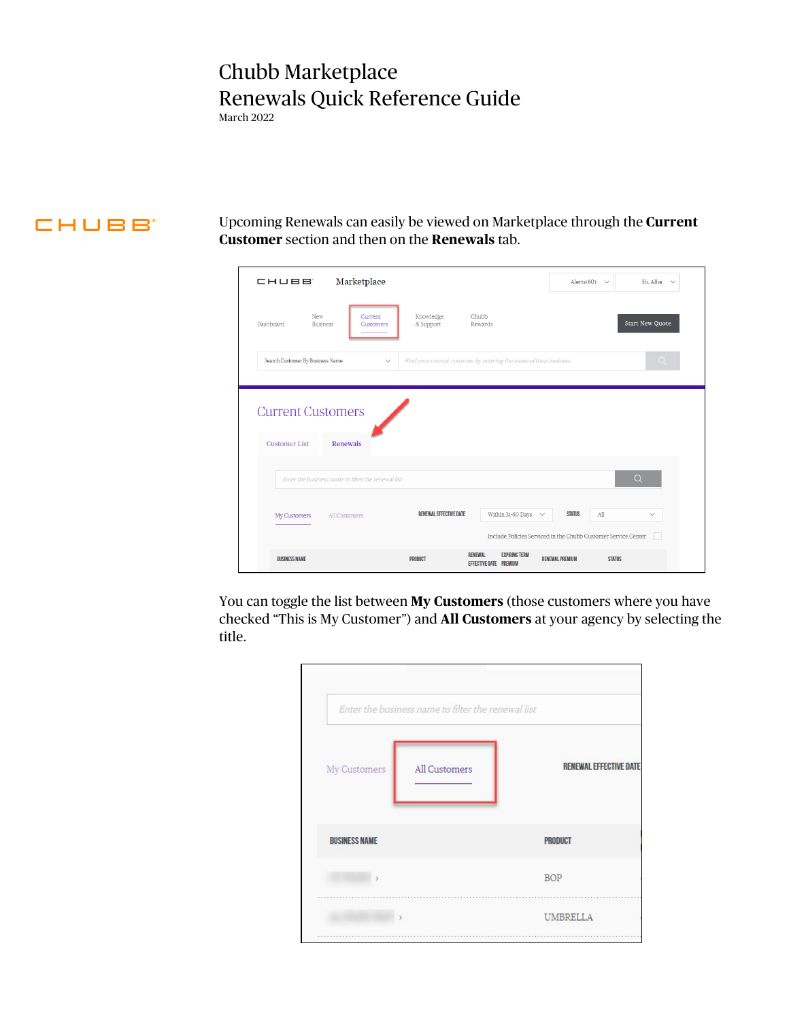## Chubb Marketplace Renewals Quick Reference Guide

March 2022

## **CHUBB**

Upcoming Renewals can easily be viewed on Marketplace through the **Current Customer** section and then on the **Renewals** tab.

| Marketplace<br>CHUBB'                              |                                                                                    | Hi, Allie $\sim$<br>Alerts(60) $\vee$                          |
|----------------------------------------------------|------------------------------------------------------------------------------------|----------------------------------------------------------------|
| New<br>Current<br>Dashboard<br><b>Business</b>     | Knowledge<br>Chubb<br>& Support<br>Rewards<br>Customers                            | <b>Start New Quote</b>                                         |
| Search Customer By Business Name                   | Find your current customer by entering the name of their business<br>$\checkmark$  | $\Omega$                                                       |
|                                                    |                                                                                    |                                                                |
| <b>Current Customers</b>                           |                                                                                    |                                                                |
| <b>Customer List</b><br>Renewals                   |                                                                                    |                                                                |
| Enter the business name to filter the renewal list |                                                                                    | $\alpha$                                                       |
| All Customers<br>My Customers                      | <b>RENEWAL EFFECTIVE DATE</b><br>Within 31-60 Days $\sim$                          | <b>STATUS</b><br>All<br>$\checkmark$                           |
|                                                    |                                                                                    | Include Policies Serviced in the Chubb Customer Service Center |
| <b>BUSINESS NAME</b>                               | <b>EXPIRING TERM</b><br><b>RENEWAL</b><br>PRODUCT<br><b>EFFECTIVE DATE PREMIUM</b> | <b>RENEWAL PREMIUM</b><br><b>STATUS</b>                        |

You can toggle the list between **My Customers** (those customers where you have checked "This is My Customer") and **All Customers** at your agency by selecting the title.

| My Customers         | All Customers | <b>RENEWAL EFFECTIVE DATE</b> |
|----------------------|---------------|-------------------------------|
|                      |               |                               |
| <b>BUSINESS NAME</b> |               | <b>PRODUCT</b>                |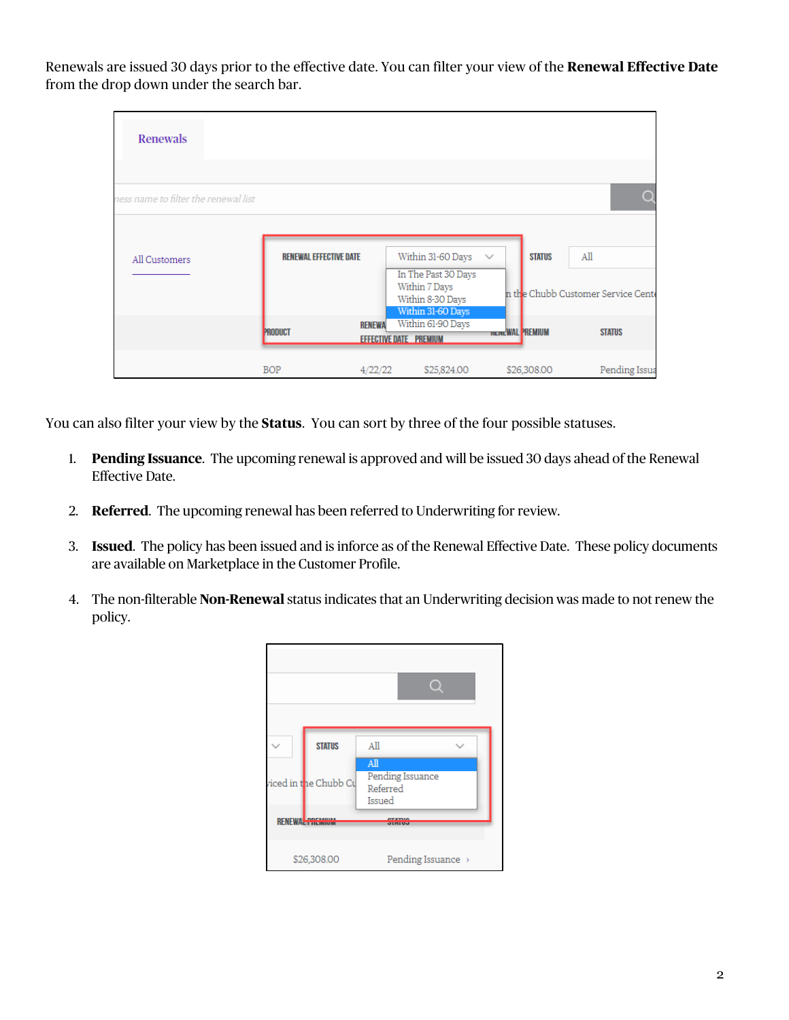Renewals are issued 30 days prior to the effective date. You can filter your view of the **Renewal Effective Date** from the drop down under the search bar.

| <b>Renewals</b>                      |                               |               |                                                                               |                        |               |                                                 |
|--------------------------------------|-------------------------------|---------------|-------------------------------------------------------------------------------|------------------------|---------------|-------------------------------------------------|
|                                      |                               |               |                                                                               |                        |               |                                                 |
| ness name to filter the renewal list |                               |               |                                                                               |                        |               | O                                               |
|                                      |                               |               |                                                                               |                        |               |                                                 |
| All Customers                        | <b>RENEWAL EFFECTIVE DATE</b> |               | Within 31-60 Days                                                             | $\checkmark$           | <b>STATUS</b> | All                                             |
|                                      |                               |               | In The Past 30 Days<br>Within 7 Days<br>Within 8-30 Days<br>Within 31-60 Days |                        |               | n th <mark>e Chubb Customer Service Cent</mark> |
|                                      | <b>PRODUCT</b>                | <b>RENEWA</b> | Within 61-90 Days<br><b>EFFECTIVE DATE PREMIUM</b>                            | <b>newcWAL PREMIUM</b> |               | <b>STATUS</b>                                   |
|                                      | <b>BOP</b>                    | 4/22/22       | \$25,824.00                                                                   |                        | \$26,308.00   | Pending Issua                                   |

You can also filter your view by the **Status**. You can sort by three of the four possible statuses.

- 1. **Pending Issuance**. The upcoming renewal is approved and will be issued 30 days ahead of the Renewal Effective Date.
- 2. **Referred**. The upcoming renewal has been referred to Underwriting for review.
- 3. **Issued**. The policy has been issued and is inforce as of the Renewal Effective Date. These policy documents are available on Marketplace in the Customer Profile.
- 4. The non-filterable **Non-Renewal** status indicates that an Underwriting decision was made to not renew the policy.

|                    | <b>STATUS</b>         | All                                                       |
|--------------------|-----------------------|-----------------------------------------------------------|
|                    | viced in the Chubb Cu | $\overline{AB}$<br>Pending Issuance<br>Referred<br>Issued |
| <b>RENEWAL PRE</b> |                       |                                                           |
|                    | \$26,308.00           | Pending Issuance >                                        |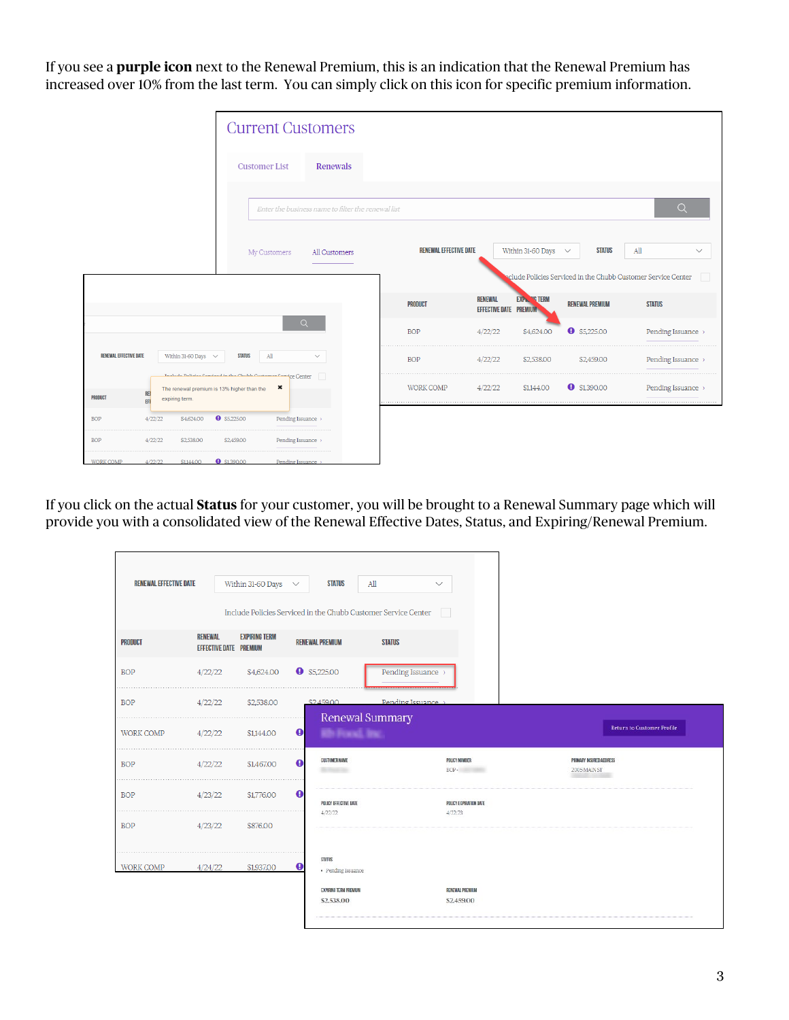If you see a **purple icon** next to the Renewal Premium, this is an indication that the Renewal Premium has increased over 10% from the last term. You can simply click on this icon for specific premium information.

|                               |                              |                                                                                                                | <b>Current Customers</b> |                                                    |  |                               |                                                 |                          |                        |                                                               |  |
|-------------------------------|------------------------------|----------------------------------------------------------------------------------------------------------------|--------------------------|----------------------------------------------------|--|-------------------------------|-------------------------------------------------|--------------------------|------------------------|---------------------------------------------------------------|--|
|                               |                              |                                                                                                                | <b>Customer List</b>     | Renewals                                           |  |                               |                                                 |                          |                        |                                                               |  |
|                               |                              |                                                                                                                |                          | Enter the business name to filter the renewal list |  |                               |                                                 |                          |                        | $\alpha$                                                      |  |
|                               |                              |                                                                                                                | My Customers             | All Customers                                      |  | <b>RENEWAL EFFECTIVE DATE</b> |                                                 | Within 31-60 Days $\sim$ | <b>STATUS</b>          | All<br>$\checkmark$                                           |  |
|                               |                              |                                                                                                                |                          |                                                    |  |                               |                                                 |                          |                        | sclude Policies Serviced in the Chubb Customer Service Center |  |
|                               |                              |                                                                                                                |                          |                                                    |  | <b>PRODUCT</b>                | <b>RENEWAL</b><br><b>EFFECTIVE DATE PREMIUM</b> | <b>EXPILENG TERM</b>     | <b>RENEWAL PREMIUM</b> | <b>STATUS</b>                                                 |  |
|                               |                              |                                                                                                                |                          | $\alpha$                                           |  | <b>BOP</b>                    | 4/22/22                                         | \$4,624.00               | $\bullet$ \$5,225.00   | Pending Issuance >                                            |  |
| <b>RENEWAL EFFECTIVE DATE</b> |                              | Within 31-60 Days $\sim$                                                                                       | <b>STATUS</b><br>All     | $\checkmark$                                       |  | <b>BOP</b>                    | 4/22/22                                         | \$2,538.00               | \$2,459.00             | Pending Issuance >                                            |  |
| PRODUCT                       | REI<br>expiring term.<br>EFF | la aluda Daliaise Comstand in the Chubb Customean Comsice Center<br>The renewal premium is 13% higher than the | ×                        |                                                    |  | <b>WORK COMP</b>              | 4/22/22                                         | \$1,144.00               | $9$ \$1,390.00         | Pending Issuance >                                            |  |
| <b>BOP</b>                    | 4/22/22                      | $9$ \$5,225.00<br>\$4,624.00                                                                                   |                          | Pending Issuance >                                 |  |                               |                                                 |                          |                        |                                                               |  |
| <b>BOP</b>                    | 4/22/22                      | \$2,538.00                                                                                                     | \$2,459.00               | Pending Issuance >                                 |  |                               |                                                 |                          |                        |                                                               |  |
| <b>WORK COMP</b>              | 4/22/22                      | <b>0</b> \$1,390,00<br>\$1144.00                                                                               |                          | Pending Issuance                                   |  |                               |                                                 |                          |                        |                                                               |  |

If you click on the actual **Status** for your customer, you will be brought to a Renewal Summary page which will provide you with a consolidated view of the Renewal Effective Dates, Status, and Expiring/Renewal Premium.

| <b>RENEWAL EFFECTIVE DATE</b> |                                                 | Within 31-60 Days $\sim$ |              | <b>STATUS</b>                                                       | All<br>Include Policies Serviced in the Chubb Customer Service Center | $\checkmark$                      |
|-------------------------------|-------------------------------------------------|--------------------------|--------------|---------------------------------------------------------------------|-----------------------------------------------------------------------|-----------------------------------|
| <b>PRODUCT</b>                | <b>RENEWAL</b><br><b>EFFECTIVE DATE PREMIUM</b> | <b>EXPIRING TERM</b>     |              | <b>RENEWAL PREMIUM</b>                                              | <b>STATUS</b>                                                         |                                   |
| <b>BOP</b>                    | 4/22/22                                         | \$4,624.00               |              | $\bullet$ \$5,225.00                                                | Pending Issuance >                                                    |                                   |
| <b>BOP</b>                    | 4/22/22                                         | \$2,538.00               |              | \$2,459.00                                                          | Pending Issuance<br>Renewal Summary                                   |                                   |
| <b>WORK COMP</b>              | 4/22/22                                         | \$1,144.00               | $\bullet$    | <b>Bb</b> Foral, Inc.                                               |                                                                       |                                   |
| <b>BOP</b>                    | 4/22/22                                         | \$1,467.00               | $\bf \Theta$ | <b>CUSTOMER NAME</b>                                                |                                                                       | <b>POLICY NUMBER</b><br>BOP-      |
| <b>BOP</b>                    | 4/23/22                                         | \$1,776,00               | $\bf \Theta$ | POLICY EFFECTIVE DATE<br>4/22/22                                    |                                                                       | POLICY EXPIRATION DATE<br>4/22/23 |
| <b>BOP</b>                    | 4/23/22                                         | \$876.00                 |              |                                                                     |                                                                       |                                   |
| WORK COMP                     | 4/24/22                                         | \$1,937.00               | O            | <b>STATUS</b><br>· Pending Issuance<br><b>EXPIRING TERM PREMIUM</b> |                                                                       | RENEWAL PREMIUM                   |
|                               |                                                 |                          |              | \$2,538.00                                                          |                                                                       | \$2,459.00                        |